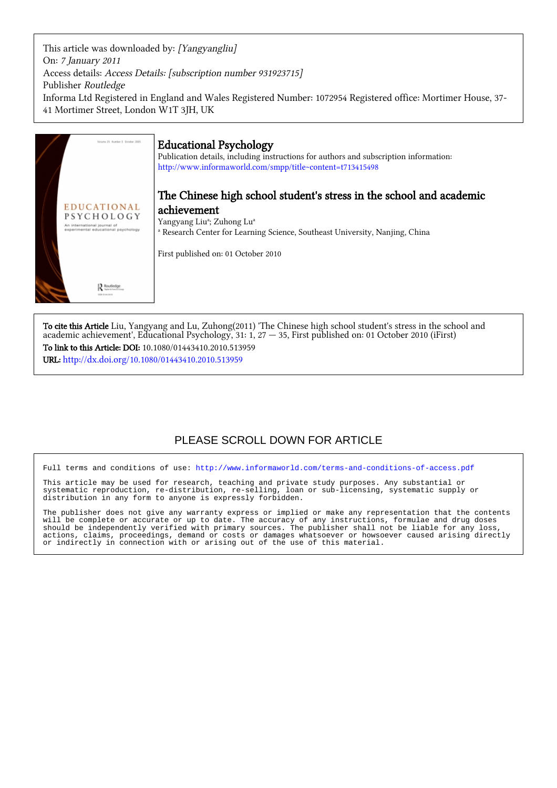This article was downloaded by: [Yangyangliu] On: 7 January 2011 Access details: Access Details: [subscription number 931923715] Publisher Routledge Informa Ltd Registered in England and Wales Registered Number: 1072954 Registered office: Mortimer House, 37- 41 Mortimer Street, London W1T 3JH, UK



To cite this Article Liu, Yangyang and Lu, Zuhong(2011) 'The Chinese high school student's stress in the school and academic achievement', Educational Psychology, 31: 1, 27 — 35, First published on: 01 October 2010 (iFirst) To link to this Article: DOI: 10.1080/01443410.2010.513959 URL: <http://dx.doi.org/10.1080/01443410.2010.513959>

# PLEASE SCROLL DOWN FOR ARTICLE

Full terms and conditions of use:<http://www.informaworld.com/terms-and-conditions-of-access.pdf>

This article may be used for research, teaching and private study purposes. Any substantial or systematic reproduction, re-distribution, re-selling, loan or sub-licensing, systematic supply or distribution in any form to anyone is expressly forbidden.

The publisher does not give any warranty express or implied or make any representation that the contents will be complete or accurate or up to date. The accuracy of any instructions, formulae and drug doses should be independently verified with primary sources. The publisher shall not be liable for any loss, actions, claims, proceedings, demand or costs or damages whatsoever or howsoever caused arising directly or indirectly in connection with or arising out of the use of this material.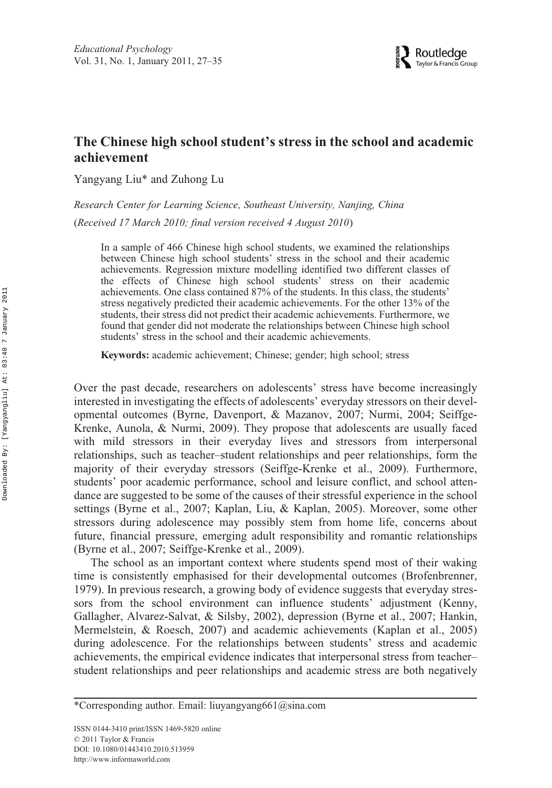## **The Chinese high school student's stress in the school and academic achievement**

Yangyang Liu\* and Zuhong Lu

*Research Center for Learning Science, Southeast University, Nanjing, China* (*Received 17 March 2010; final version received 4 August 2010*)

In a sample of 466 Chinese high school students, we examined the relationships between Chinese high school students' stress in the school and their academic achievements. Regression mixture modelling identified two different classes of the effects of Chinese high school students' stress on their academic achievements. One class contained 87% of the students. In this class, the students' stress negatively predicted their academic achievements. For the other 13% of the students, their stress did not predict their academic achievements. Furthermore, we found that gender did not moderate the relationships between Chinese high school students' stress in the school and their academic achievements.

**Keywords:** academic achievement; Chinese; gender; high school; stress

Over the past decade, researchers on adolescents' stress have become increasingly interested in investigating the effects of adolescents' everyday stressors on their developmental outcomes (Byrne, Davenport, & Mazanov, 2007; Nurmi, 2004; Seiffge-Krenke, Aunola, & Nurmi, 2009). They propose that adolescents are usually faced with mild stressors in their everyday lives and stressors from interpersonal relationships, such as teacher–student relationships and peer relationships, form the majority of their everyday stressors (Seiffge-Krenke et al., 2009). Furthermore, students' poor academic performance, school and leisure conflict, and school attendance are suggested to be some of the causes of their stressful experience in the school settings (Byrne et al., 2007; Kaplan, Liu, & Kaplan, 2005). Moreover, some other stressors during adolescence may possibly stem from home life, concerns about future, financial pressure, emerging adult responsibility and romantic relationships (Byrne et al., 2007; Seiffge-Krenke et al., 2009).

The school as an important context where students spend most of their waking time is consistently emphasised for their developmental outcomes (Brofenbrenner, 1979). In previous research, a growing body of evidence suggests that everyday stressors from the school environment can influence students' adjustment (Kenny, Gallagher, Alvarez-Salvat, & Silsby, 2002), depression (Byrne et al., 2007; Hankin, Mermelstein, & Roesch, 2007) and academic achievements (Kaplan et al., 2005) during adolescence. For the relationships between students' stress and academic achievements, the empirical evidence indicates that interpersonal stress from teacher– student relationships and peer relationships and academic stress are both negatively

<sup>\*</sup>Corresponding author. Email: liuyangyang661@sina.com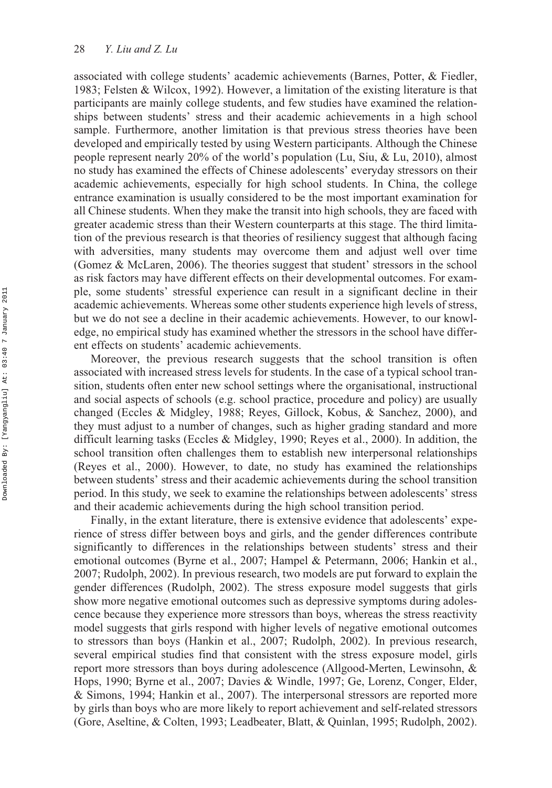associated with college students' academic achievements (Barnes, Potter, & Fiedler, 1983; Felsten & Wilcox, 1992). However, a limitation of the existing literature is that participants are mainly college students, and few studies have examined the relationships between students' stress and their academic achievements in a high school sample. Furthermore, another limitation is that previous stress theories have been developed and empirically tested by using Western participants. Although the Chinese people represent nearly 20% of the world's population (Lu, Siu, & Lu, 2010), almost no study has examined the effects of Chinese adolescents' everyday stressors on their academic achievements, especially for high school students. In China, the college entrance examination is usually considered to be the most important examination for all Chinese students. When they make the transit into high schools, they are faced with greater academic stress than their Western counterparts at this stage. The third limitation of the previous research is that theories of resiliency suggest that although facing with adversities, many students may overcome them and adjust well over time (Gomez & McLaren, 2006). The theories suggest that student' stressors in the school as risk factors may have different effects on their developmental outcomes. For example, some students' stressful experience can result in a significant decline in their academic achievements. Whereas some other students experience high levels of stress, but we do not see a decline in their academic achievements. However, to our knowledge, no empirical study has examined whether the stressors in the school have different effects on students' academic achievements.

Moreover, the previous research suggests that the school transition is often associated with increased stress levels for students. In the case of a typical school transition, students often enter new school settings where the organisational, instructional and social aspects of schools (e.g. school practice, procedure and policy) are usually changed (Eccles & Midgley, 1988; Reyes, Gillock, Kobus, & Sanchez, 2000), and they must adjust to a number of changes, such as higher grading standard and more difficult learning tasks (Eccles & Midgley, 1990; Reyes et al., 2000). In addition, the school transition often challenges them to establish new interpersonal relationships (Reyes et al., 2000). However, to date, no study has examined the relationships between students' stress and their academic achievements during the school transition period. In this study, we seek to examine the relationships between adolescents' stress and their academic achievements during the high school transition period.

Finally, in the extant literature, there is extensive evidence that adolescents' experience of stress differ between boys and girls, and the gender differences contribute significantly to differences in the relationships between students' stress and their emotional outcomes (Byrne et al., 2007; Hampel & Petermann, 2006; Hankin et al., 2007; Rudolph, 2002). In previous research, two models are put forward to explain the gender differences (Rudolph, 2002). The stress exposure model suggests that girls show more negative emotional outcomes such as depressive symptoms during adolescence because they experience more stressors than boys, whereas the stress reactivity model suggests that girls respond with higher levels of negative emotional outcomes to stressors than boys (Hankin et al., 2007; Rudolph, 2002). In previous research, several empirical studies find that consistent with the stress exposure model, girls report more stressors than boys during adolescence (Allgood-Merten, Lewinsohn, & Hops, 1990; Byrne et al., 2007; Davies & Windle, 1997; Ge, Lorenz, Conger, Elder, & Simons, 1994; Hankin et al., 2007). The interpersonal stressors are reported more by girls than boys who are more likely to report achievement and self-related stressors (Gore, Aseltine, & Colten, 1993; Leadbeater, Blatt, & Quinlan, 1995; Rudolph, 2002).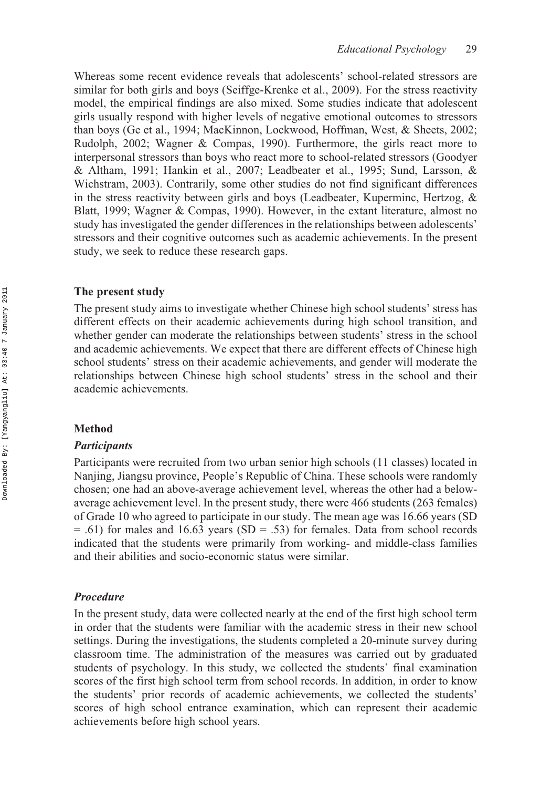Whereas some recent evidence reveals that adolescents' school-related stressors are similar for both girls and boys (Seiffge-Krenke et al., 2009). For the stress reactivity model, the empirical findings are also mixed. Some studies indicate that adolescent girls usually respond with higher levels of negative emotional outcomes to stressors than boys (Ge et al., 1994; MacKinnon, Lockwood, Hoffman, West, & Sheets, 2002; Rudolph, 2002; Wagner & Compas, 1990). Furthermore, the girls react more to interpersonal stressors than boys who react more to school-related stressors (Goodyer & Altham, 1991; Hankin et al., 2007; Leadbeater et al., 1995; Sund, Larsson, & Wichstram, 2003). Contrarily, some other studies do not find significant differences in the stress reactivity between girls and boys (Leadbeater, Kuperminc, Hertzog, & Blatt, 1999; Wagner & Compas, 1990). However, in the extant literature, almost no study has investigated the gender differences in the relationships between adolescents' stressors and their cognitive outcomes such as academic achievements. In the present study, we seek to reduce these research gaps.

#### **The present study**

The present study aims to investigate whether Chinese high school students' stress has different effects on their academic achievements during high school transition, and whether gender can moderate the relationships between students' stress in the school and academic achievements. We expect that there are different effects of Chinese high school students' stress on their academic achievements, and gender will moderate the relationships between Chinese high school students' stress in the school and their academic achievements.

#### **Method**

#### *Participants*

Participants were recruited from two urban senior high schools (11 classes) located in Nanjing, Jiangsu province, People's Republic of China. These schools were randomly chosen; one had an above-average achievement level, whereas the other had a belowaverage achievement level. In the present study, there were 466 students (263 females) of Grade 10 who agreed to participate in our study. The mean age was 16.66 years (SD  $=$  .61) for males and 16.63 years (SD  $=$  .53) for females. Data from school records indicated that the students were primarily from working- and middle-class families and their abilities and socio-economic status were similar.

## *Procedure*

In the present study, data were collected nearly at the end of the first high school term in order that the students were familiar with the academic stress in their new school settings. During the investigations, the students completed a 20-minute survey during classroom time. The administration of the measures was carried out by graduated students of psychology. In this study, we collected the students' final examination scores of the first high school term from school records. In addition, in order to know the students' prior records of academic achievements, we collected the students' scores of high school entrance examination, which can represent their academic achievements before high school years.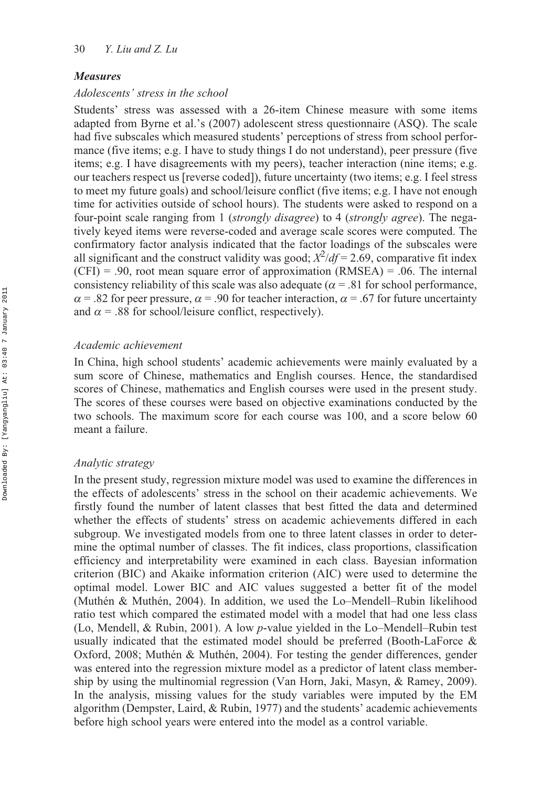#### *Measures*

#### *Adolescents' stress in the school*

Students' stress was assessed with a 26-item Chinese measure with some items adapted from Byrne et al.'s (2007) adolescent stress questionnaire (ASQ). The scale had five subscales which measured students' perceptions of stress from school performance (five items; e.g. I have to study things I do not understand), peer pressure (five items; e.g. I have disagreements with my peers), teacher interaction (nine items; e.g. our teachers respect us [reverse coded]), future uncertainty (two items; e.g. I feel stress to meet my future goals) and school/leisure conflict (five items; e.g. I have not enough time for activities outside of school hours). The students were asked to respond on a four-point scale ranging from 1 (*strongly disagree*) to 4 (*strongly agree*). The negatively keyed items were reverse-coded and average scale scores were computed. The confirmatory factor analysis indicated that the factor loadings of the subscales were all significant and the construct validity was good;  $\frac{\chi^2}{df} = 2.69$ , comparative fit index  $(CFI) = .90$ , root mean square error of approximation  $(RMSEA) = .06$ . The internal consistency reliability of this scale was also adequate ( $\alpha$  = .81 for school performance,  $\alpha$  = .82 for peer pressure,  $\alpha$  = .90 for teacher interaction,  $\alpha$  = .67 for future uncertainty and  $\alpha$  = .88 for school/leisure conflict, respectively).

#### *Academic achievement*

In China, high school students' academic achievements were mainly evaluated by a sum score of Chinese, mathematics and English courses. Hence, the standardised scores of Chinese, mathematics and English courses were used in the present study. The scores of these courses were based on objective examinations conducted by the two schools. The maximum score for each course was 100, and a score below 60 meant a failure.

#### *Analytic strategy*

In the present study, regression mixture model was used to examine the differences in the effects of adolescents' stress in the school on their academic achievements. We firstly found the number of latent classes that best fitted the data and determined whether the effects of students' stress on academic achievements differed in each subgroup. We investigated models from one to three latent classes in order to determine the optimal number of classes. The fit indices, class proportions, classification efficiency and interpretability were examined in each class. Bayesian information criterion (BIC) and Akaike information criterion (AIC) were used to determine the optimal model. Lower BIC and AIC values suggested a better fit of the model (Muthén & Muthén, 2004). In addition, we used the Lo–Mendell–Rubin likelihood ratio test which compared the estimated model with a model that had one less class (Lo, Mendell, & Rubin, 2001). A low *p*-value yielded in the Lo–Mendell–Rubin test usually indicated that the estimated model should be preferred (Booth-LaForce & Oxford, 2008; Muthén & Muthén, 2004). For testing the gender differences, gender was entered into the regression mixture model as a predictor of latent class membership by using the multinomial regression (Van Horn, Jaki, Masyn, & Ramey, 2009). In the analysis, missing values for the study variables were imputed by the EM algorithm (Dempster, Laird, & Rubin, 1977) and the students' academic achievements before high school years were entered into the model as a control variable.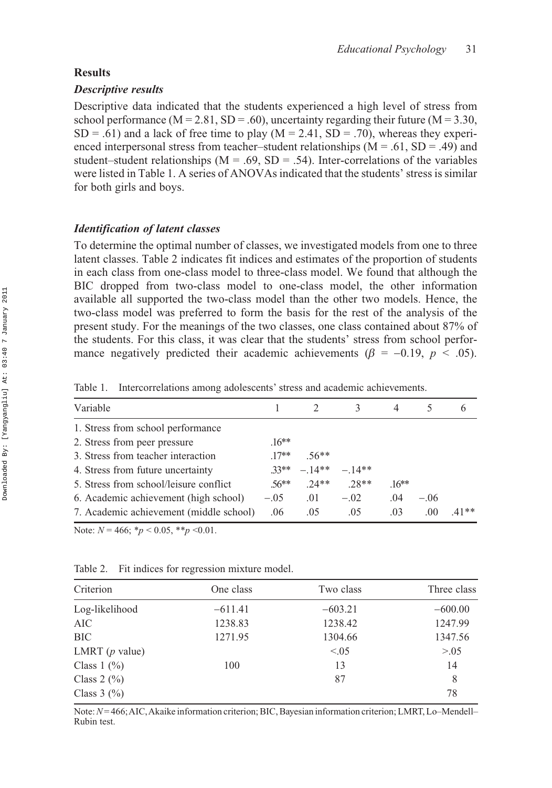## **Results**

## *Descriptive results*

Descriptive data indicated that the students experienced a high level of stress from school performance ( $M = 2.81$ , SD = .60), uncertainty regarding their future ( $M = 3.30$ ,  $SD = .61$ ) and a lack of free time to play (M = 2.41, SD = .70), whereas they experienced interpersonal stress from teacher–student relationships ( $M = .61$ ,  $SD = .49$ ) and student–student relationships ( $M = .69$ ,  $SD = .54$ ). Inter-correlations of the variables were listed in Table 1. A series of ANOVAs indicated that the students' stress is similar for both girls and boys.

## *Identification of latent classes*

To determine the optimal number of classes, we investigated models from one to three latent classes. Table 2 indicates fit indices and estimates of the proportion of students in each class from one-class model to three-class model. We found that although the BIC dropped from two-class model to one-class model, the other information available all supported the two-class model than the other two models. Hence, the two-class model was preferred to form the basis for the rest of the analysis of the present study. For the meanings of the two classes, one class contained about 87% of the students. For this class, it was clear that the students' stress from school performance negatively predicted their academic achievements ( $\beta = -0.19$ ,  $p < .05$ ).

Variable 1 2 3 4 5 6 1. Stress from school performance 2. Stress from peer pressure .16<sup>\*\*</sup> 3. Stress from teacher interaction  $.17**$  .56\*\* 4. Stress from future uncertainty  $.33^{**} -.14^{**} -.14^{**}$ 5. Stress from school/leisure conflict  $56**$   $.24**$   $.28**$   $.16**$ 6. Academic achievement (high school) −.05 .01 −.02 .04 −.06 7. Academic achievement (middle school) .06 .05 .05 .03 .00 .41\*\*

Table 1. Intercorrelations among adolescents' stress and academic achievements.

Note:  $N = 466$ ;  $\binom{4}{P} < 0.05$ ,  $\binom{4}{P} < 0.01$ .

| Table 2. |  | Fit indices for regression mixture model. |  |  |
|----------|--|-------------------------------------------|--|--|
|----------|--|-------------------------------------------|--|--|

| Criterion                            | One class | Two class | Three class |
|--------------------------------------|-----------|-----------|-------------|
| Log-likelihood                       | $-611.41$ | $-603.21$ | $-600.00$   |
| AIC                                  | 1238.83   | 1238.42   | 1247.99     |
| BIC                                  | 1271.95   | 1304.66   | 1347.56     |
| LMRT $(p$ value)                     |           | < 0.05    | > 0.05      |
| Class $1$ $\left(\frac{9}{6}\right)$ | 100       | 13        | 14          |
| Class $2 \frac{(\%)}{(\%)}$          |           | 87        | 8           |
| Class $3$ $(\%)$                     |           |           | 78          |
|                                      |           |           |             |

Note:  $N=466$ ; AIC, Akaike information criterion; BIC, Bayesian information criterion; LMRT, Lo–Mendell– Rubin test.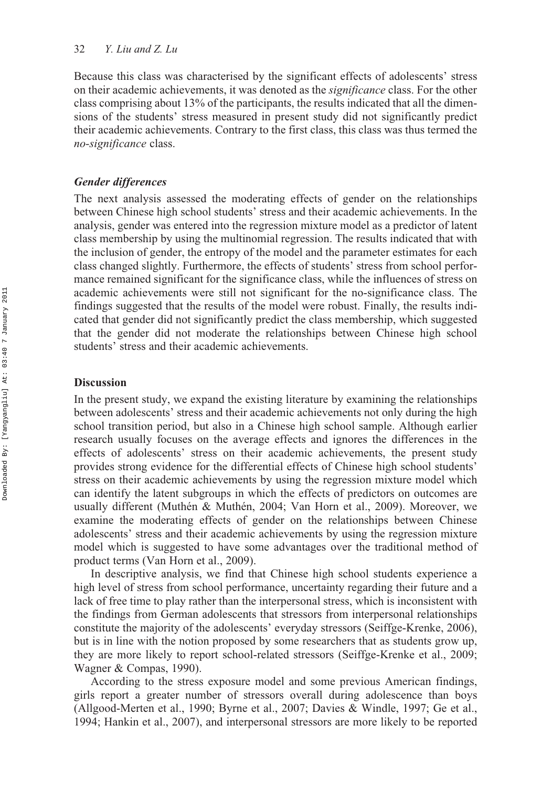Because this class was characterised by the significant effects of adolescents' stress on their academic achievements, it was denoted as the *significance* class. For the other class comprising about 13% of the participants, the results indicated that all the dimensions of the students' stress measured in present study did not significantly predict their academic achievements. Contrary to the first class, this class was thus termed the *no-significance* class.

## *Gender differences*

The next analysis assessed the moderating effects of gender on the relationships between Chinese high school students' stress and their academic achievements. In the analysis, gender was entered into the regression mixture model as a predictor of latent class membership by using the multinomial regression. The results indicated that with the inclusion of gender, the entropy of the model and the parameter estimates for each class changed slightly. Furthermore, the effects of students' stress from school performance remained significant for the significance class, while the influences of stress on academic achievements were still not significant for the no-significance class. The findings suggested that the results of the model were robust. Finally, the results indicated that gender did not significantly predict the class membership, which suggested that the gender did not moderate the relationships between Chinese high school students' stress and their academic achievements.

#### **Discussion**

In the present study, we expand the existing literature by examining the relationships between adolescents' stress and their academic achievements not only during the high school transition period, but also in a Chinese high school sample. Although earlier research usually focuses on the average effects and ignores the differences in the effects of adolescents' stress on their academic achievements, the present study provides strong evidence for the differential effects of Chinese high school students' stress on their academic achievements by using the regression mixture model which can identify the latent subgroups in which the effects of predictors on outcomes are usually different (Muthén & Muthén, 2004; Van Horn et al., 2009). Moreover, we examine the moderating effects of gender on the relationships between Chinese adolescents' stress and their academic achievements by using the regression mixture model which is suggested to have some advantages over the traditional method of product terms (Van Horn et al., 2009).

In descriptive analysis, we find that Chinese high school students experience a high level of stress from school performance, uncertainty regarding their future and a lack of free time to play rather than the interpersonal stress, which is inconsistent with the findings from German adolescents that stressors from interpersonal relationships constitute the majority of the adolescents' everyday stressors (Seiffge-Krenke, 2006), but is in line with the notion proposed by some researchers that as students grow up, they are more likely to report school-related stressors (Seiffge-Krenke et al., 2009; Wagner & Compas, 1990).

According to the stress exposure model and some previous American findings, girls report a greater number of stressors overall during adolescence than boys (Allgood-Merten et al., 1990; Byrne et al., 2007; Davies & Windle, 1997; Ge et al., 1994; Hankin et al., 2007), and interpersonal stressors are more likely to be reported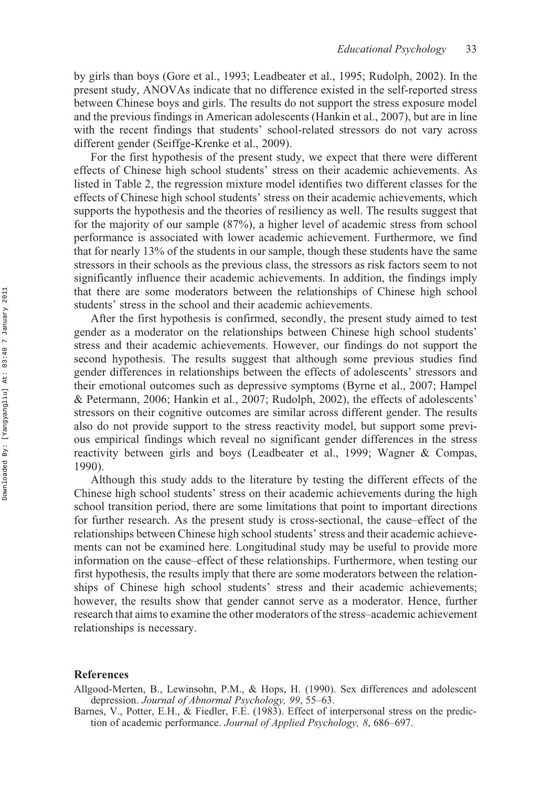by girls than boys (Gore et al., 1993; Leadbeater et al., 1995; Rudolph, 2002). In the present study, ANOVAs indicate that no difference existed in the self-reported stress between Chinese boys and girls. The results do not support the stress exposure model and the previous findings in American adolescents (Hankin et al., 2007), but are in line with the recent findings that students' school-related stressors do not vary across different gender (Seiffge-Krenke et al., 2009).

For the first hypothesis of the present study, we expect that there were different effects of Chinese high school students' stress on their academic achievements. As listed in Table 2, the regression mixture model identifies two different classes for the effects of Chinese high school students' stress on their academic achievements, which supports the hypothesis and the theories of resiliency as well. The results suggest that for the majority of our sample (87%), a higher level of academic stress from school performance is associated with lower academic achievement. Furthermore, we find that for nearly 13% of the students in our sample, though these students have the same stressors in their schools as the previous class, the stressors as risk factors seem to not significantly influence their academic achievements. In addition, the findings imply that there are some moderators between the relationships of Chinese high school students' stress in the school and their academic achievements.

After the first hypothesis is confirmed, secondly, the present study aimed to test gender as a moderator on the relationships between Chinese high school students' stress and their academic achievements. However, our findings do not support the second hypothesis. The results suggest that although some previous studies find gender differences in relationships between the effects of adolescents' stressors and their emotional outcomes such as depressive symptoms (Byrne et al., 2007; Hampel & Petermann, 2006; Hankin et al., 2007; Rudolph, 2002), the effects of adolescents' stressors on their cognitive outcomes are similar across different gender. The results also do not provide support to the stress reactivity model, but support some previous empirical findings which reveal no significant gender differences in the stress reactivity between girls and boys (Leadbeater et al., 1999; Wagner & Compas, 1990).

Although this study adds to the literature by testing the different effects of the Chinese high school students' stress on their academic achievements during the high school transition period, there are some limitations that point to important directions for further research. As the present study is cross-sectional, the cause–effect of the relationships between Chinese high school students' stress and their academic achievements can not be examined here. Longitudinal study may be useful to provide more information on the cause–effect of these relationships. Furthermore, when testing our first hypothesis, the results imply that there are some moderators between the relationships of Chinese high school students' stress and their academic achievements; however, the results show that gender cannot serve as a moderator. Hence, further research that aims to examine the other moderators of the stress–academic achievement relationships is necessary.

## **References**

- Allgood-Merten, B., Lewinsohn, P.M., & Hops, H. (1990). Sex differences and adolescent depression. *Journal of Abnormal Psychology, 99*, 55–63.
- Barnes, V., Potter, E.H., & Fiedler, F.E. (1983). Effect of interpersonal stress on the prediction of academic performance. *Journal of Applied Psychology, 8*, 686–697.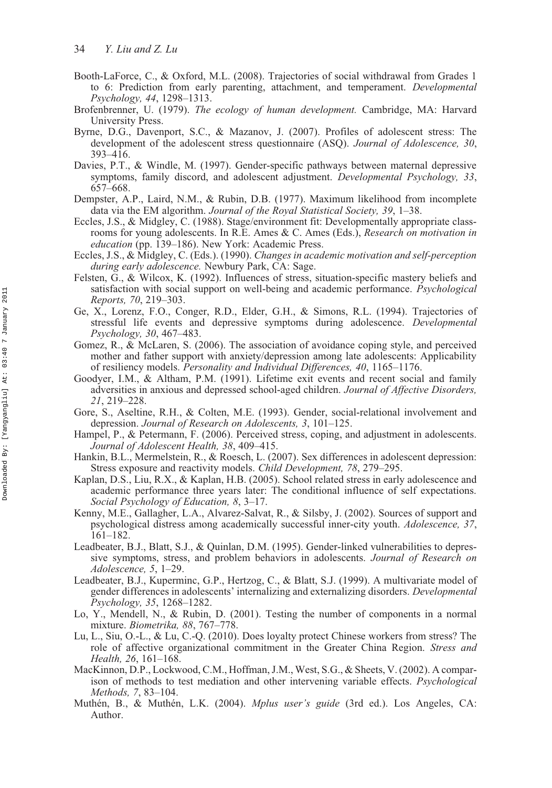- Booth-LaForce, C., & Oxford, M.L. (2008). Trajectories of social withdrawal from Grades 1 to 6: Prediction from early parenting, attachment, and temperament. *Developmental Psychology, 44*, 1298–1313.
- Brofenbrenner, U. (1979). *The ecology of human development.* Cambridge, MA: Harvard University Press.
- Byrne, D.G., Davenport, S.C., & Mazanov, J. (2007). Profiles of adolescent stress: The development of the adolescent stress questionnaire (ASQ). *Journal of Adolescence, 30*, 393–416.
- Davies, P.T., & Windle, M. (1997). Gender-specific pathways between maternal depressive symptoms, family discord, and adolescent adjustment. *Developmental Psychology, 33*, 657–668.
- Dempster, A.P., Laird, N.M., & Rubin, D.B. (1977). Maximum likelihood from incomplete data via the EM algorithm. *Journal of the Royal Statistical Society, 39*, 1–38.
- Eccles, J.S., & Midgley, C. (1988). Stage/environment fit: Developmentally appropriate classrooms for young adolescents. In R.E. Ames & C. Ames (Eds.), *Research on motivation in education* (pp. 139–186). New York: Academic Press.
- Eccles, J.S., & Midgley, C. (Eds.). (1990). *Changes in academic motivation and self-perception during early adolescence.* Newbury Park, CA: Sage.
- Felsten, G., & Wilcox, K. (1992). Influences of stress, situation-specific mastery beliefs and satisfaction with social support on well-being and academic performance. *Psychological Reports, 70*, 219–303.
- Ge, X., Lorenz, F.O., Conger, R.D., Elder, G.H., & Simons, R.L. (1994). Trajectories of stressful life events and depressive symptoms during adolescence. *Developmental Psychology, 30*, 467–483.
- Gomez, R., & McLaren, S. (2006). The association of avoidance coping style, and perceived mother and father support with anxiety/depression among late adolescents: Applicability of resiliency models. *Personality and Individual Differences, 40*, 1165–1176.
- Goodyer, I.M., & Altham, P.M. (1991). Lifetime exit events and recent social and family adversities in anxious and depressed school-aged children. *Journal of Affective Disorders, 21*, 219–228.
- Gore, S., Aseltine, R.H., & Colten, M.E. (1993). Gender, social-relational involvement and depression. *Journal of Research on Adolescents, 3*, 101–125.
- Hampel, P., & Petermann, F. (2006). Perceived stress, coping, and adjustment in adolescents. *Journal of Adolescent Health, 38*, 409–415.
- Hankin, B.L., Mermelstein, R., & Roesch, L. (2007). Sex differences in adolescent depression: Stress exposure and reactivity models. *Child Development, 78*, 279–295.
- Kaplan, D.S., Liu, R.X., & Kaplan, H.B. (2005). School related stress in early adolescence and academic performance three years later: The conditional influence of self expectations. *Social Psychology of Education, 8*, 3–17.
- Kenny, M.E., Gallagher, L.A., Alvarez-Salvat, R., & Silsby, J. (2002). Sources of support and psychological distress among academically successful inner-city youth. *Adolescence, 37*, 161–182.
- Leadbeater, B.J., Blatt, S.J., & Quinlan, D.M. (1995). Gender-linked vulnerabilities to depressive symptoms, stress, and problem behaviors in adolescents. *Journal of Research on Adolescence, 5*, 1–29.
- Leadbeater, B.J., Kuperminc, G.P., Hertzog, C., & Blatt, S.J. (1999). A multivariate model of gender differences in adolescents' internalizing and externalizing disorders. *Developmental Psychology, 35*, 1268–1282.
- Lo, Y., Mendell, N., & Rubin, D. (2001). Testing the number of components in a normal mixture. *Biometrika, 88*, 767–778.
- Lu, L., Siu, O.-L., & Lu, C.-Q. (2010). Does loyalty protect Chinese workers from stress? The role of affective organizational commitment in the Greater China Region. *Stress and Health, 26*, 161–168.
- MacKinnon, D.P., Lockwood, C.M., Hoffman, J.M., West, S.G., & Sheets, V. (2002). A comparison of methods to test mediation and other intervening variable effects. *Psychological Methods, 7*, 83–104.
- Muthén, B., & Muthén, L.K. (2004). *Mplus user's guide* (3rd ed.). Los Angeles, CA: Author.